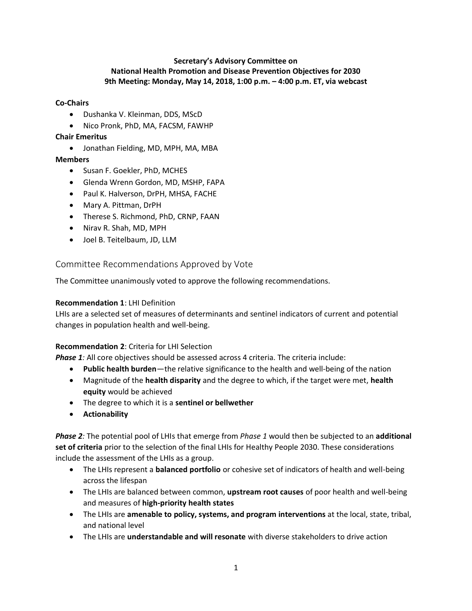### **Secretary's Advisory Committee on National Health Promotion and Disease Prevention Objectives for 2030 9th Meeting: Monday, May 14, 2018, 1:00 p.m. – 4:00 p.m. ET, via webcast**

#### **Co-Chairs**

- Dushanka V. Kleinman, DDS, MScD
- Nico Pronk, PhD, MA, FACSM, FAWHP

#### **Chair Emeritus**

• Jonathan Fielding, MD, MPH, MA, MBA

### **Members**

- Susan F. Goekler, PhD, MCHES
- Glenda Wrenn Gordon, MD, MSHP, FAPA
- Paul K. Halverson, DrPH, MHSA, FACHE
- Mary A. Pittman, DrPH
- Therese S. Richmond, PhD, CRNP, FAAN
- Nirav R. Shah, MD, MPH
- Joel B. Teitelbaum, JD, LLM

### Committee Recommendations Approved by Vote

The Committee unanimously voted to approve the following recommendations.

#### **Recommendation 1**: LHI Definition

LHIs are a selected set of measures of determinants and sentinel indicators of current and potential changes in population health and well-being.

#### **Recommendation 2**: Criteria for LHI Selection

**Phase 1***:* All core objectives should be assessed across 4 criteria. The criteria include:

- **Public health burden**—the relative significance to the health and well-being of the nation
- Magnitude of the **health disparity** and the degree to which, if the target were met, **health equity** would be achieved
- The degree to which it is a **sentinel or bellwether**
- **Actionability**

*Phase 2:* The potential pool of LHIs that emerge from *Phase 1* would then be subjected to an **additional set of criteria** prior to the selection of the final LHIs for Healthy People 2030. These considerations include the assessment of the LHIs as a group.

- The LHIs represent a **balanced portfolio** or cohesive set of indicators of health and well-being across the lifespan
- The LHIs are balanced between common, **upstream root causes** of poor health and well-being and measures of **high-priority health states**
- The LHIs are **amenable to policy, systems, and program interventions** at the local, state, tribal, and national level
- The LHIs are **understandable and will resonate** with diverse stakeholders to drive action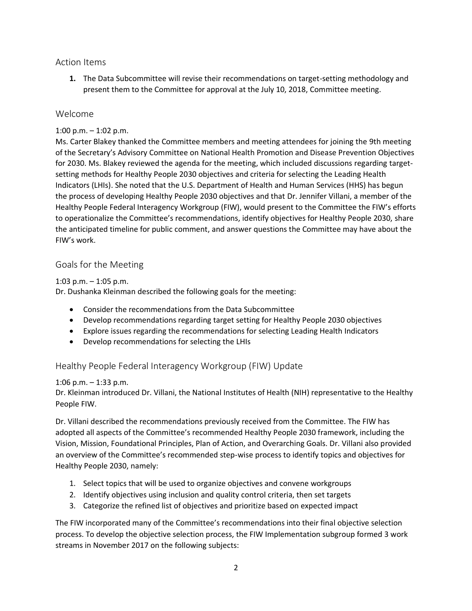## Action Items

**1.** The Data Subcommittee will revise their recommendations on target-setting methodology and present them to the Committee for approval at the July 10, 2018, Committee meeting.

# Welcome

## 1:00 p.m.  $-$  1:02 p.m.

Ms. Carter Blakey thanked the Committee members and meeting attendees for joining the 9th meeting of the Secretary's Advisory Committee on National Health Promotion and Disease Prevention Objectives for 2030. Ms. Blakey reviewed the agenda for the meeting, which included discussions regarding targetsetting methods for Healthy People 2030 objectives and criteria for selecting the Leading Health Indicators (LHIs). She noted that the U.S. Department of Health and Human Services (HHS) has begun the process of developing Healthy People 2030 objectives and that Dr. Jennifer Villani, a member of the Healthy People Federal Interagency Workgroup (FIW), would present to the Committee the FIW's efforts to operationalize the Committee's recommendations, identify objectives for Healthy People 2030, share the anticipated timeline for public comment, and answer questions the Committee may have about the FIW's work.

# Goals for the Meeting

### 1:03 p.m. – 1:05 p.m.

Dr. Dushanka Kleinman described the following goals for the meeting:

- Consider the recommendations from the Data Subcommittee
- Develop recommendations regarding target setting for Healthy People 2030 objectives
- Explore issues regarding the recommendations for selecting Leading Health Indicators
- Develop recommendations for selecting the LHIs

# Healthy People Federal Interagency Workgroup (FIW) Update

## 1:06 p.m. – 1:33 p.m.

Dr. Kleinman introduced Dr. Villani, the National Institutes of Health (NIH) representative to the Healthy People FIW.

Dr. Villani described the recommendations previously received from the Committee. The FIW has adopted all aspects of the Committee's recommended Healthy People 2030 framework, including the Vision, Mission, Foundational Principles, Plan of Action, and Overarching Goals. Dr. Villani also provided an overview of the Committee's recommended step-wise process to identify topics and objectives for Healthy People 2030, namely:

- 1. Select topics that will be used to organize objectives and convene workgroups
- 2. Identify objectives using inclusion and quality control criteria, then set targets
- 3. Categorize the refined list of objectives and prioritize based on expected impact

The FIW incorporated many of the Committee's recommendations into their final objective selection process. To develop the objective selection process, the FIW Implementation subgroup formed 3 work streams in November 2017 on the following subjects: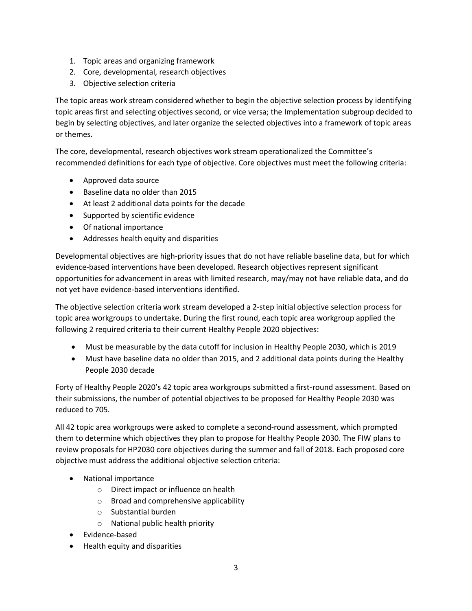- 1. Topic areas and organizing framework
- 2. Core, developmental, research objectives
- 3. Objective selection criteria

The topic areas work stream considered whether to begin the objective selection process by identifying topic areas first and selecting objectives second, or vice versa; the Implementation subgroup decided to begin by selecting objectives, and later organize the selected objectives into a framework of topic areas or themes.

The core, developmental, research objectives work stream operationalized the Committee's recommended definitions for each type of objective. Core objectives must meet the following criteria:

- Approved data source
- Baseline data no older than 2015
- At least 2 additional data points for the decade
- Supported by scientific evidence
- Of national importance
- Addresses health equity and disparities

Developmental objectives are high-priority issues that do not have reliable baseline data, but for which evidence-based interventions have been developed. Research objectives represent significant opportunities for advancement in areas with limited research, may/may not have reliable data, and do not yet have evidence-based interventions identified.

The objective selection criteria work stream developed a 2-step initial objective selection process for topic area workgroups to undertake. During the first round, each topic area workgroup applied the following 2 required criteria to their current Healthy People 2020 objectives:

- Must be measurable by the data cutoff for inclusion in Healthy People 2030, which is 2019
- Must have baseline data no older than 2015, and 2 additional data points during the Healthy People 2030 decade

 their submissions, the number of potential objectives to be proposed for Healthy People 2030 was Forty of Healthy People 2020's 42 topic area workgroups submitted a first-round assessment. Based on reduced to 705.

All 42 topic area workgroups were asked to complete a second-round assessment, which prompted them to determine which objectives they plan to propose for Healthy People 2030. The FIW plans to review proposals for HP2030 core objectives during the summer and fall of 2018. Each proposed core objective must address the additional objective selection criteria:

- National importance
	- o Direct impact or influence on health
	- o Broad and comprehensive applicability
	- o Substantial burden
	- o National public health priority
- Evidence-based
- Health equity and disparities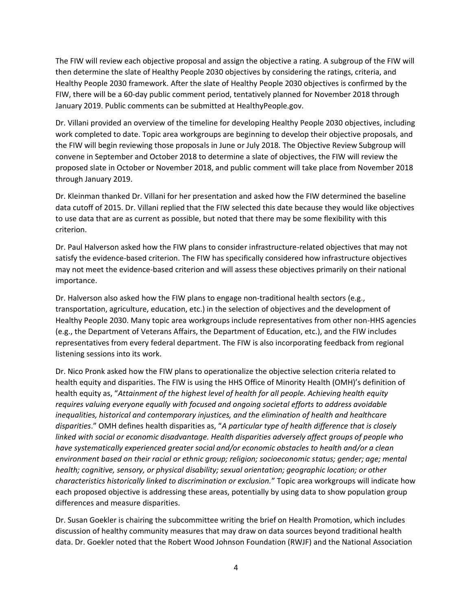The FIW will review each objective proposal and assign the objective a rating. A subgroup of the FIW will then determine the slate of Healthy People 2030 objectives by considering the ratings, criteria, and Healthy People 2030 framework. After the slate of Healthy People 2030 objectives is confirmed by the FIW, there will be a 60-day public comment period, tentatively planned for November 2018 through January 2019. Public comments can be submitted at HealthyPeople.gov.

Dr. Villani provided an overview of the timeline for developing Healthy People 2030 objectives, including work completed to date. Topic area workgroups are beginning to develop their objective proposals, and the FIW will begin reviewing those proposals in June or July 2018. The Objective Review Subgroup will convene in September and October 2018 to determine a slate of objectives, the FIW will review the proposed slate in October or November 2018, and public comment will take place from November 2018 through January 2019.

Dr. Kleinman thanked Dr. Villani for her presentation and asked how the FIW determined the baseline data cutoff of 2015. Dr. Villani replied that the FIW selected this date because they would like objectives to use data that are as current as possible, but noted that there may be some flexibility with this criterion.

Dr. Paul Halverson asked how the FIW plans to consider infrastructure-related objectives that may not satisfy the evidence-based criterion. The FIW has specifically considered how infrastructure objectives may not meet the evidence-based criterion and will assess these objectives primarily on their national importance.

Dr. Halverson also asked how the FIW plans to engage non-traditional health sectors (e.g., transportation, agriculture, education, etc.) in the selection of objectives and the development of Healthy People 2030. Many topic area workgroups include representatives from other non-HHS agencies (e.g., the Department of Veterans Affairs, the Department of Education, etc.), and the FIW includes representatives from every federal department. The FIW is also incorporating feedback from regional listening sessions into its work.

 *environment based on their racial or ethnic group; religion; socioeconomic status; gender; age; mental*  Dr. Nico Pronk asked how the FIW plans to operationalize the objective selection criteria related to health equity and disparities. The FIW is using the HHS Office of Minority Health (OMH)'s definition of health equity as, "*Attainment of the highest level of health for all people. Achieving health equity requires valuing everyone equally with focused and ongoing societal efforts to address avoidable inequalities, historical and contemporary injustices, and the elimination of health and healthcare disparities*." OMH defines health disparities as, "*A particular type of health difference that is closely linked with social or economic disadvantage. Health disparities adversely affect groups of people who have systematically experienced greater social and/or economic obstacles to health and/or a clean health; cognitive, sensory, or physical disability; sexual orientation; geographic location; or other characteristics historically linked to discrimination or exclusion.*" Topic area workgroups will indicate how each proposed objective is addressing these areas, potentially by using data to show population group differences and measure disparities.

Dr. Susan Goekler is chairing the subcommittee writing the brief on Health Promotion, which includes discussion of healthy community measures that may draw on data sources beyond traditional health data. Dr. Goekler noted that the Robert Wood Johnson Foundation (RWJF) and the National Association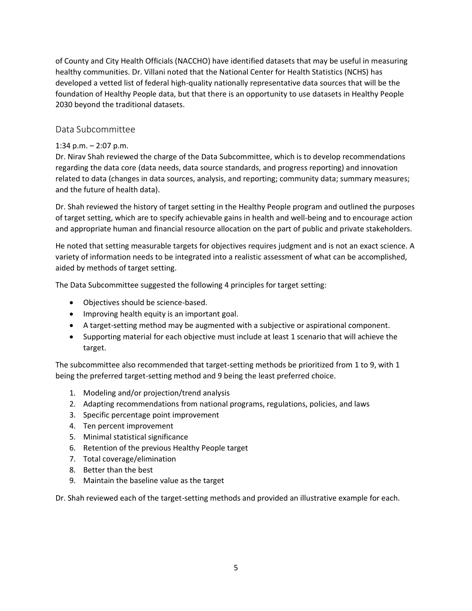healthy communities. Dr. Villani noted that the National Center for Health Statistics (NCHS) has of County and City Health Officials (NACCHO) have identified datasets that may be useful in measuring developed a vetted list of federal high-quality nationally representative data sources that will be the foundation of Healthy People data, but that there is an opportunity to use datasets in Healthy People 2030 beyond the traditional datasets.

# Data Subcommittee

### 1:34 p.m.  $-$  2:07 p.m.

Dr. Nirav Shah reviewed the charge of the Data Subcommittee, which is to develop recommendations regarding the data core (data needs, data source standards, and progress reporting) and innovation related to data (changes in data sources, analysis, and reporting; community data; summary measures; and the future of health data).

Dr. Shah reviewed the history of target setting in the Healthy People program and outlined the purposes of target setting, which are to specify achievable gains in health and well-being and to encourage action and appropriate human and financial resource allocation on the part of public and private stakeholders.

He noted that setting measurable targets for objectives requires judgment and is not an exact science. A variety of information needs to be integrated into a realistic assessment of what can be accomplished, aided by methods of target setting.

The Data Subcommittee suggested the following 4 principles for target setting:

- Objectives should be science-based.
- Improving health equity is an important goal.
- A target-setting method may be augmented with a subjective or aspirational component.
- Supporting material for each objective must include at least 1 scenario that will achieve the target.

The subcommittee also recommended that target-setting methods be prioritized from 1 to 9, with 1 being the preferred target-setting method and 9 being the least preferred choice.

- 1. Modeling and/or projection/trend analysis
- 2. Adapting recommendations from national programs, regulations, policies, and laws
- 3. Specific percentage point improvement
- 4. Ten percent improvement
- 5. Minimal statistical significance
- 6. Retention of the previous Healthy People target
- 7. Total coverage/elimination
- 8. Better than the best
- 9. Maintain the baseline value as the target

Dr. Shah reviewed each of the target-setting methods and provided an illustrative example for each.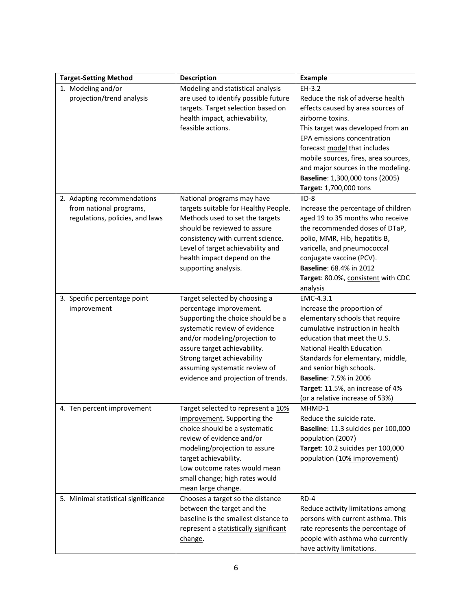| <b>Target-Setting Method</b>                                                              | <b>Description</b>                                                                                                                                                                                                                                                                                    | <b>Example</b>                                                                                                                                                                                                                                                                                                                                        |
|-------------------------------------------------------------------------------------------|-------------------------------------------------------------------------------------------------------------------------------------------------------------------------------------------------------------------------------------------------------------------------------------------------------|-------------------------------------------------------------------------------------------------------------------------------------------------------------------------------------------------------------------------------------------------------------------------------------------------------------------------------------------------------|
| 1. Modeling and/or<br>projection/trend analysis                                           | Modeling and statistical analysis<br>are used to identify possible future<br>targets. Target selection based on<br>health impact, achievability,<br>feasible actions.                                                                                                                                 | $EH-3.2$<br>Reduce the risk of adverse health<br>effects caused by area sources of<br>airborne toxins.<br>This target was developed from an<br>EPA emissions concentration<br>forecast model that includes<br>mobile sources, fires, area sources,<br>and major sources in the modeling.<br>Baseline: 1,300,000 tons (2005)<br>Target: 1,700,000 tons |
| 2. Adapting recommendations<br>from national programs,<br>regulations, policies, and laws | National programs may have<br>targets suitable for Healthy People.<br>Methods used to set the targets<br>should be reviewed to assure<br>consistency with current science.<br>Level of target achievability and<br>health impact depend on the<br>supporting analysis.                                | $IID-8$<br>Increase the percentage of children<br>aged 19 to 35 months who receive<br>the recommended doses of DTaP,<br>polio, MMR, Hib, hepatitis B,<br>varicella, and pneumococcal<br>conjugate vaccine (PCV).<br><b>Baseline: 68.4% in 2012</b><br>Target: 80.0%, consistent with CDC<br>analysis                                                  |
| 3. Specific percentage point<br>improvement                                               | Target selected by choosing a<br>percentage improvement.<br>Supporting the choice should be a<br>systematic review of evidence<br>and/or modeling/projection to<br>assure target achievability.<br>Strong target achievability<br>assuming systematic review of<br>evidence and projection of trends. | EMC-4.3.1<br>Increase the proportion of<br>elementary schools that require<br>cumulative instruction in health<br>education that meet the U.S.<br>National Health Education<br>Standards for elementary, middle,<br>and senior high schools.<br><b>Baseline: 7.5% in 2006</b><br>Target: 11.5%, an increase of 4%<br>(or a relative increase of 53%)  |
| 4. Ten percent improvement                                                                | Target selected to represent a 10%<br>improvement. Supporting the<br>choice should be a systematic<br>review of evidence and/or<br>modeling/projection to assure<br>target achievability.<br>Low outcome rates would mean<br>small change; high rates would<br>mean large change.                     | MHMD-1<br>Reduce the suicide rate.<br>Baseline: 11.3 suicides per 100,000<br>population (2007)<br>Target: 10.2 suicides per 100,000<br>population (10% improvement)                                                                                                                                                                                   |
| 5. Minimal statistical significance                                                       | Chooses a target so the distance<br>between the target and the<br>baseline is the smallest distance to<br>represent a statistically significant<br>change.                                                                                                                                            | $RD-4$<br>Reduce activity limitations among<br>persons with current asthma. This<br>rate represents the percentage of<br>people with asthma who currently<br>have activity limitations.                                                                                                                                                               |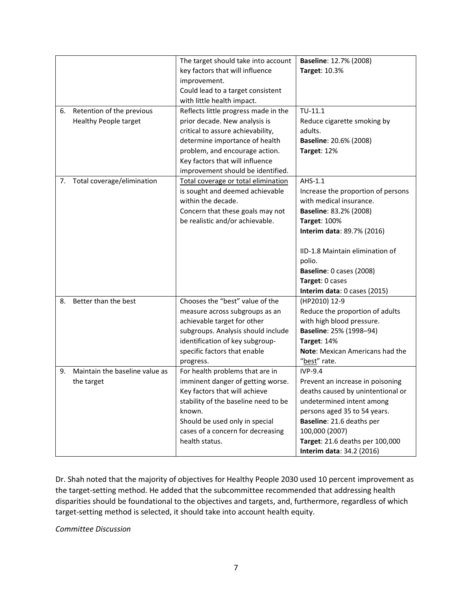|    |                                | The target should take into account  | <b>Baseline: 12.7% (2008)</b>      |
|----|--------------------------------|--------------------------------------|------------------------------------|
|    |                                | key factors that will influence      | <b>Target: 10.3%</b>               |
|    |                                | improvement.                         |                                    |
|    |                                | Could lead to a target consistent    |                                    |
|    |                                | with little health impact.           |                                    |
| 6. | Retention of the previous      | Reflects little progress made in the | $TU-11.1$                          |
|    | <b>Healthy People target</b>   | prior decade. New analysis is        | Reduce cigarette smoking by        |
|    |                                | critical to assure achievability,    | adults.                            |
|    |                                | determine importance of health       | Baseline: 20.6% (2008)             |
|    |                                | problem, and encourage action.       | Target: 12%                        |
|    |                                | Key factors that will influence      |                                    |
|    |                                | improvement should be identified.    |                                    |
| 7. | Total coverage/elimination     | Total coverage or total elimination  | AHS-1.1                            |
|    |                                | is sought and deemed achievable      | Increase the proportion of persons |
|    |                                | within the decade.                   | with medical insurance.            |
|    |                                | Concern that these goals may not     | Baseline: 83.2% (2008)             |
|    |                                | be realistic and/or achievable.      | <b>Target: 100%</b>                |
|    |                                |                                      | Interim data: 89.7% (2016)         |
|    |                                |                                      |                                    |
|    |                                |                                      | IID-1.8 Maintain elimination of    |
|    |                                |                                      | polio.                             |
|    |                                |                                      | Baseline: 0 cases (2008)           |
|    |                                |                                      | Target: 0 cases                    |
|    |                                |                                      | Interim data: 0 cases (2015)       |
| 8. | Better than the best           | Chooses the "best" value of the      | (HP2010) 12-9                      |
|    |                                | measure across subgroups as an       | Reduce the proportion of adults    |
|    |                                | achievable target for other          | with high blood pressure.          |
|    |                                | subgroups. Analysis should include   | Baseline: 25% (1998-94)            |
|    |                                | identification of key subgroup-      | Target: 14%                        |
|    |                                | specific factors that enable         | Note: Mexican Americans had the    |
|    |                                | progress.                            | "best" rate.                       |
| 9. | Maintain the baseline value as | For health problems that are in      | $IVP-9.4$                          |
|    | the target                     | imminent danger of getting worse.    | Prevent an increase in poisoning   |
|    |                                | Key factors that will achieve        | deaths caused by unintentional or  |
|    |                                | stability of the baseline need to be | undetermined intent among          |
|    |                                | known.                               | persons aged 35 to 54 years.       |
|    |                                | Should be used only in special       | Baseline: 21.6 deaths per          |
|    |                                | cases of a concern for decreasing    | 100,000 (2007)                     |
|    |                                | health status.                       | Target: 21.6 deaths per 100,000    |
|    |                                |                                      | Interim data: 34.2 (2016)          |

Dr. Shah noted that the majority of objectives for Healthy People 2030 used 10 percent improvement as the target-setting method. He added that the subcommittee recommended that addressing health disparities should be foundational to the objectives and targets, and, furthermore, regardless of which target-setting method is selected, it should take into account health equity.

*Committee Discussion*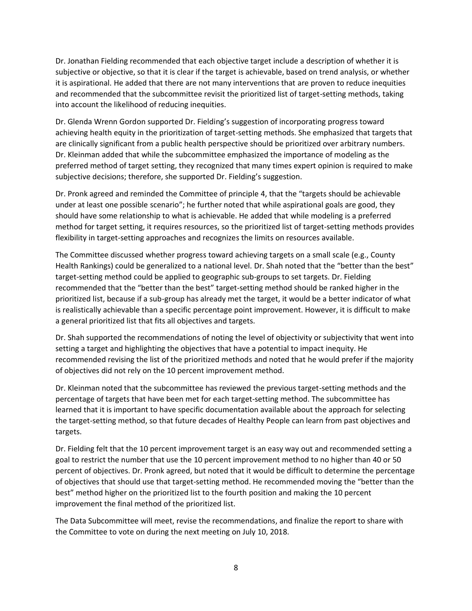Dr. Jonathan Fielding recommended that each objective target include a description of whether it is subjective or objective, so that it is clear if the target is achievable, based on trend analysis, or whether it is aspirational. He added that there are not many interventions that are proven to reduce inequities and recommended that the subcommittee revisit the prioritized list of target-setting methods, taking into account the likelihood of reducing inequities.

Dr. Glenda Wrenn Gordon supported Dr. Fielding's suggestion of incorporating progress toward achieving health equity in the prioritization of target-setting methods. She emphasized that targets that are clinically significant from a public health perspective should be prioritized over arbitrary numbers. Dr. Kleinman added that while the subcommittee emphasized the importance of modeling as the preferred method of target setting, they recognized that many times expert opinion is required to make subjective decisions; therefore, she supported Dr. Fielding's suggestion.

Dr. Pronk agreed and reminded the Committee of principle 4, that the "targets should be achievable under at least one possible scenario"; he further noted that while aspirational goals are good, they should have some relationship to what is achievable. He added that while modeling is a preferred method for target setting, it requires resources, so the prioritized list of target-setting methods provides flexibility in target-setting approaches and recognizes the limits on resources available.

The Committee discussed whether progress toward achieving targets on a small scale (e.g., County Health Rankings) could be generalized to a national level. Dr. Shah noted that the "better than the best" target-setting method could be applied to geographic sub-groups to set targets. Dr. Fielding recommended that the "better than the best" target-setting method should be ranked higher in the prioritized list, because if a sub-group has already met the target, it would be a better indicator of what is realistically achievable than a specific percentage point improvement. However, it is difficult to make a general prioritized list that fits all objectives and targets.

Dr. Shah supported the recommendations of noting the level of objectivity or subjectivity that went into setting a target and highlighting the objectives that have a potential to impact inequity. He recommended revising the list of the prioritized methods and noted that he would prefer if the majority of objectives did not rely on the 10 percent improvement method.

Dr. Kleinman noted that the subcommittee has reviewed the previous target-setting methods and the percentage of targets that have been met for each target-setting method. The subcommittee has learned that it is important to have specific documentation available about the approach for selecting the target-setting method, so that future decades of Healthy People can learn from past objectives and targets.

Dr. Fielding felt that the 10 percent improvement target is an easy way out and recommended setting a goal to restrict the number that use the 10 percent improvement method to no higher than 40 or 50 percent of objectives. Dr. Pronk agreed, but noted that it would be difficult to determine the percentage of objectives that should use that target-setting method. He recommended moving the "better than the best" method higher on the prioritized list to the fourth position and making the 10 percent improvement the final method of the prioritized list.

The Data Subcommittee will meet, revise the recommendations, and finalize the report to share with the Committee to vote on during the next meeting on July 10, 2018.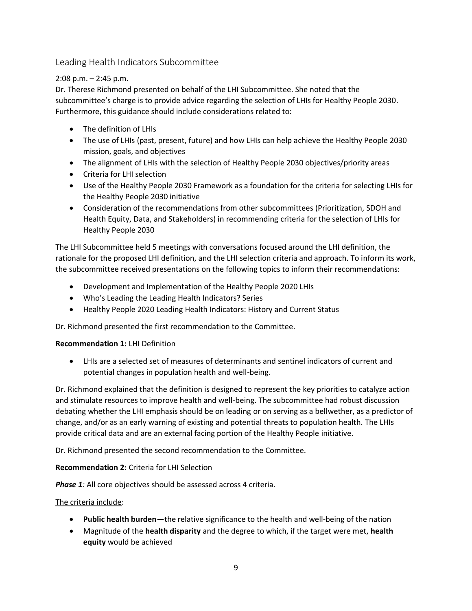Leading Health Indicators Subcommittee

## 2:08 p.m. – 2:45 p.m.

Dr. Therese Richmond presented on behalf of the LHI Subcommittee. She noted that the subcommittee's charge is to provide advice regarding the selection of LHIs for Healthy People 2030. Furthermore, this guidance should include considerations related to:

- The definition of LHIs
- The use of LHIs (past, present, future) and how LHIs can help achieve the Healthy People 2030 mission, goals, and objectives
- The alignment of LHIs with the selection of Healthy People 2030 objectives/priority areas
- Criteria for LHI selection
- Use of the Healthy People 2030 Framework as a foundation for the criteria for selecting LHIs for the Healthy People 2030 initiative
- Health Equity, Data, and Stakeholders) in recommending criteria for the selection of LHIs for • Consideration of the recommendations from other subcommittees (Prioritization, SDOH and Healthy People 2030

The LHI Subcommittee held 5 meetings with conversations focused around the LHI definition, the rationale for the proposed LHI definition, and the LHI selection criteria and approach. To inform its work, the subcommittee received presentations on the following topics to inform their recommendations:

- Development and Implementation of the Healthy People 2020 LHIs
- Who's Leading the Leading Health Indicators? Series
- Healthy People 2020 Leading Health Indicators: History and Current Status

Dr. Richmond presented the first recommendation to the Committee.

## **Recommendation 1:** LHI Definition

• LHIs are a selected set of measures of determinants and sentinel indicators of current and potential changes in population health and well-being.

Dr. Richmond explained that the definition is designed to represent the key priorities to catalyze action and stimulate resources to improve health and well-being. The subcommittee had robust discussion debating whether the LHI emphasis should be on leading or on serving as a bellwether, as a predictor of change, and/or as an early warning of existing and potential threats to population health. The LHIs provide critical data and are an external facing portion of the Healthy People initiative.

Dr. Richmond presented the second recommendation to the Committee.

## **Recommendation 2:** Criteria for LHI Selection

**Phase 1***:* All core objectives should be assessed across 4 criteria.

## The criteria include:

- **Public health burden**—the relative significance to the health and well-being of the nation
- Magnitude of the **health disparity** and the degree to which, if the target were met, **health equity** would be achieved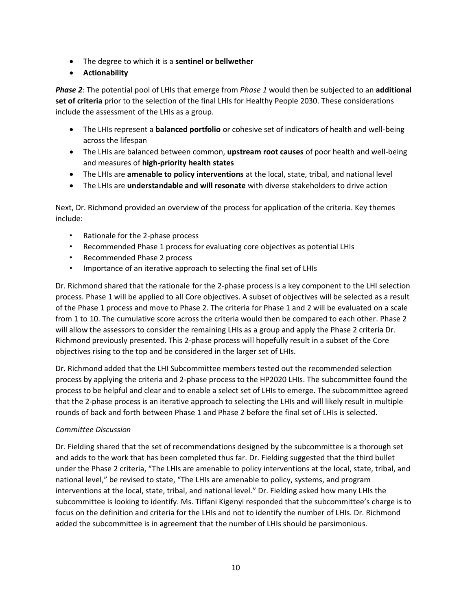- The degree to which it is a **sentinel or bellwether**
- **Actionability**

*Phase 2:* The potential pool of LHIs that emerge from *Phase 1* would then be subjected to an **additional set of criteria** prior to the selection of the final LHIs for Healthy People 2030. These considerations include the assessment of the LHIs as a group.

- The LHIs represent a **balanced portfolio** or cohesive set of indicators of health and well-being across the lifespan
- The LHIs are balanced between common, **upstream root causes** of poor health and well-being and measures of **high-priority health states**
- The LHIs are **amenable to policy interventions** at the local, state, tribal, and national level
- The LHIs are **understandable and will resonate** with diverse stakeholders to drive action

Next, Dr. Richmond provided an overview of the process for application of the criteria. Key themes include:

- Rationale for the 2-phase process
- Recommended Phase 1 process for evaluating core objectives as potential LHIs
- Recommended Phase 2 process
- Importance of an iterative approach to selecting the final set of LHIs

Dr. Richmond shared that the rationale for the 2-phase process is a key component to the LHI selection process. Phase 1 will be applied to all Core objectives. A subset of objectives will be selected as a result of the Phase 1 process and move to Phase 2. The criteria for Phase 1 and 2 will be evaluated on a scale from 1 to 10. The cumulative score across the criteria would then be compared to each other. Phase 2 will allow the assessors to consider the remaining LHIs as a group and apply the Phase 2 criteria Dr. Richmond previously presented. This 2-phase process will hopefully result in a subset of the Core objectives rising to the top and be considered in the larger set of LHIs.

Dr. Richmond added that the LHI Subcommittee members tested out the recommended selection process by applying the criteria and 2-phase process to the HP2020 LHIs. The subcommittee found the process to be helpful and clear and to enable a select set of LHIs to emerge. The subcommittee agreed that the 2-phase process is an iterative approach to selecting the LHIs and will likely result in multiple rounds of back and forth between Phase 1 and Phase 2 before the final set of LHIs is selected.

## *Committee Discussion*

Dr. Fielding shared that the set of recommendations designed by the subcommittee is a thorough set and adds to the work that has been completed thus far. Dr. Fielding suggested that the third bullet under the Phase 2 criteria, "The LHIs are amenable to policy interventions at the local, state, tribal, and national level," be revised to state, "The LHIs are amenable to policy, systems, and program interventions at the local, state, tribal, and national level." Dr. Fielding asked how many LHIs the subcommittee is looking to identify. Ms. Tiffani Kigenyi responded that the subcommittee's charge is to focus on the definition and criteria for the LHIs and not to identify the number of LHIs. Dr. Richmond added the subcommittee is in agreement that the number of LHIs should be parsimonious.